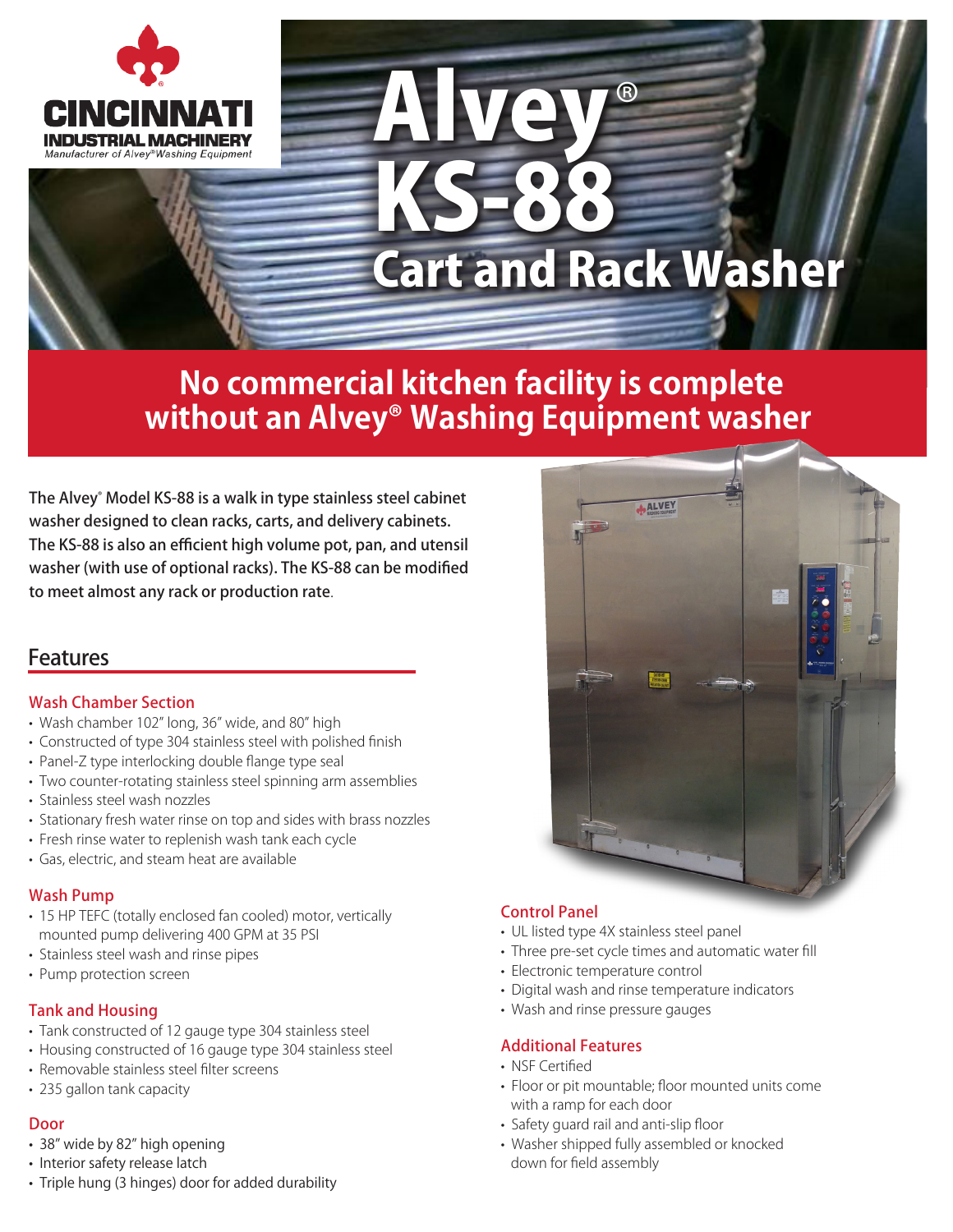

# Alvey KS-88 ® Cart and Rack Washer

# **No commercial kitchen facility is complete without an Alvey® Washing Equipment washer**

The Alvey® Model KS-88 is a walk in type stainless steel cabinet washer designed to clean racks, carts, and delivery cabinets. The KS-88 is also an efficient high volume pot, pan, and utensil washer (with use of optional racks). The KS-88 can be modified to meet almost any rack or production rate.

### Features

#### Wash Chamber Section

- Wash chamber 102" long, 36" wide, and 80" high
- Constructed of type 304 stainless steel with polished finish
- Panel-Z type interlocking double flange type seal
- Two counter-rotating stainless steel spinning arm assemblies
- Stainless steel wash nozzles
- Stationary fresh water rinse on top and sides with brass nozzles
- Fresh rinse water to replenish wash tank each cycle
- Gas, electric, and steam heat are available

#### Wash Pump

- 15 HP TEFC (totally enclosed fan cooled) motor, vertically mounted pump delivering 400 GPM at 35 PSI
- Stainless steel wash and rinse pipes
- Pump protection screen

#### Tank and Housing

- Tank constructed of 12 gauge type 304 stainless steel
- Housing constructed of 16 gauge type 304 stainless steel
- Removable stainless steel filter screens
- 235 gallon tank capacity

#### Door

- 38" wide by 82" high opening
- Interior safety release latch
- Triple hung (3 hinges) door for added durability



#### Control Panel

- UL listed type 4X stainless steel panel
- Three pre-set cycle times and automatic water fill
- Electronic temperature control
- Digital wash and rinse temperature indicators
- Wash and rinse pressure gauges

#### Additional Features

- NSF Certified
- Floor or pit mountable; floor mounted units come with a ramp for each door
- Safety guard rail and anti-slip floor
- Washer shipped fully assembled or knocked down for field assembly